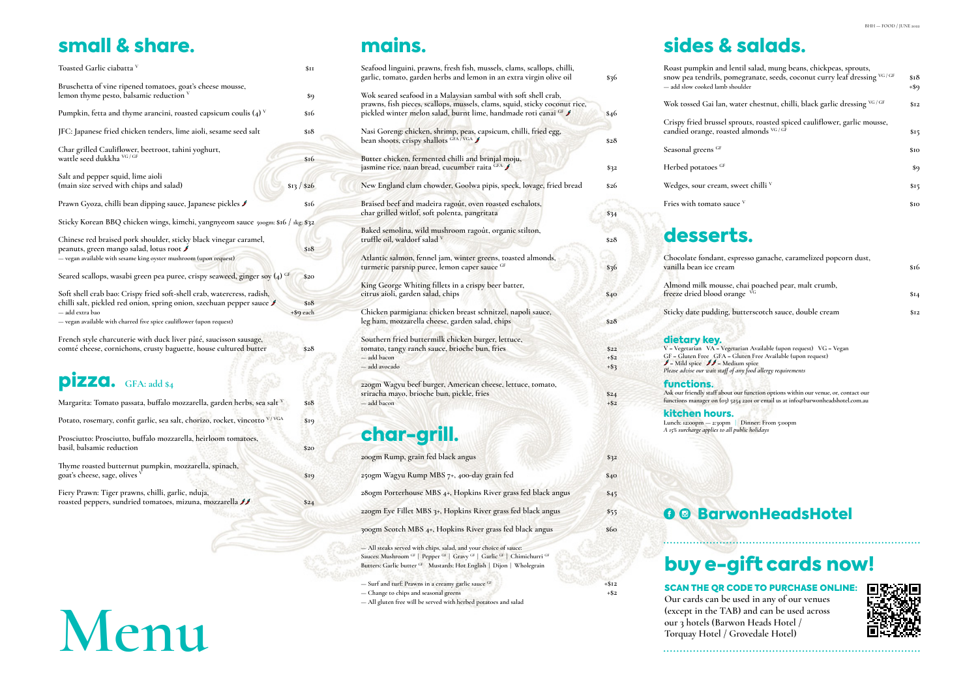### small & share.

| Toasted Garlic ciabatta V                                                                                                                                                                                                                | \$ <sub>II</sub>  |
|------------------------------------------------------------------------------------------------------------------------------------------------------------------------------------------------------------------------------------------|-------------------|
| Bruschetta of vine ripened tomatoes, goat's cheese mousse,<br>lemon thyme pesto, balsamic reduction v                                                                                                                                    | \$9               |
| Pumpkin, fetta and thyme arancini, roasted capsicum coulis $(4)^v$                                                                                                                                                                       | \$16              |
| JFC: Japanese fried chicken tenders, lime aioli, sesame seed salt                                                                                                                                                                        | \$18              |
| Char grilled Cauliflower, beetroot, tahini yoghurt,<br>wattle seed dukkha VG/GF                                                                                                                                                          | \$16              |
| Salt and pepper squid, lime aioli<br>(main size served with chips and salad)                                                                                                                                                             | \$13 / \$26       |
| Prawn Gyoza, chilli bean dipping sauce, Japanese pickles J                                                                                                                                                                               | \$16              |
| Sticky Korean BBQ chicken wings, kimchi, yangnyeom sauce 500gm: \$16 / 1kg: \$32                                                                                                                                                         |                   |
| Chinese red braised pork shoulder, sticky black vinegar caramel,<br>peanuts, green mango salad, lotus root ∮<br>- vegan available with sesame king oyster mushroom (upon request)                                                        | \$18              |
| Seared scallops, wasabi green pea puree, crispy seaweed, ginger soy $(4)$ GF                                                                                                                                                             | \$20              |
| Soft shell crab bao: Crispy fried soft-shell crab, watercress, radish,<br>chilli salt, pickled red onion, spring onion, szechuan pepper sauce<br>— add extra bao<br>— vegan available with charred five spice cauliflower (upon request) | \$I8<br>+\$9 each |
| French style charcuterie with duck liver pâté, saucisson sausage,<br>comté cheese, cornichons, crusty baguette, house cultured butter                                                                                                    | \$28              |
| $\overline{\text{p}}$ izza. GFA: add \$4                                                                                                                                                                                                 |                   |
| Margarita: Tomato passata, buffalo mozzarella, garden herbs, sea salt <sup>v</sup>                                                                                                                                                       | \$18              |
| Potato, rosemary, confit garlic, sea salt, chorizo, rocket, vincotto V/VGA                                                                                                                                                               | \$19              |

**Prosciutto: Prosciutto, buffalo mozzarella, heirloom tomatoes, basil, balsamic reduction \$20 Thyme roasted butternut pumpkin, mozzarella, spinach,**

**Fiery Prawn: Tiger prawns, chilli, garlic, nduja, roasted peppers, sundried tomatoes, mizuna, mozzarella \$24**

goat's cheese, sage, olives  $\overline{v}$  **\$19** 

# mains.

| Seafood linguini, prawns, fresh fish, mussels, clams, scallops, chilli,     |         | Ro                      |
|-----------------------------------------------------------------------------|---------|-------------------------|
| garlic, tomato, garden herbs and lemon in an extra virgin olive oil         | \$36    | snc                     |
|                                                                             |         | $-a$                    |
| Wok seared seafood in a Malaysian sambal with soft shell crab,              |         |                         |
| prawns, fish pieces, scallops, mussels, clams, squid, sticky coconut rice,  |         | Wc                      |
| pickled winter melon salad, burnt lime, handmade roti canai <sup>GF</sup> ∮ | \$46    |                         |
|                                                                             |         | Cri                     |
| Nasi Goreng: chicken, shrimp, peas, capsicum, chilli, fried egg,            |         | car                     |
| bean shoots, crispy shallots GFA/VGA                                        | \$28    |                         |
|                                                                             |         | Sea                     |
| Butter chicken, fermented chilli and brinjal moju,                          |         |                         |
| jasmine rice, naan bread, cucumber raita <sup>GFA</sup> ∫                   | \$32    | He                      |
| New England clam chowder, Goolwa pipis, speck, lovage, fried bread          | \$26    | We                      |
|                                                                             |         |                         |
| Braised beef and madeira ragout, oven roasted eschalots,                    |         | Fri                     |
| char grilled witlof, soft polenta, pangritata                               | \$34    |                         |
|                                                                             |         |                         |
| Baked semolina, wild mushroom ragoût, organic stilton,                      |         |                         |
| truffle oil, waldorf salad $\vee$                                           | \$28    | $\bullet$               |
|                                                                             |         |                         |
| Atlantic salmon, fennel jam, winter greens, toasted almonds,                |         | Ch                      |
| turmeric parsnip puree, lemon caper sauce GF                                | \$36    | var                     |
|                                                                             |         |                         |
| King George Whiting fillets in a crispy beer batter,                        |         | Ah                      |
| citrus aioli, garden salad, chips                                           | \$40    | free                    |
|                                                                             |         |                         |
| Chicken parmigiana: chicken breast schnitzel, napoli sauce,                 |         | Sti                     |
| leg ham, mozzarella cheese, garden salad, chips                             | \$28    |                         |
|                                                                             |         |                         |
| Southern fried buttermilk chicken burger, lettuce,                          |         | di                      |
| tomato, tangy ranch sauce, brioche bun, fries                               | \$22    | $V =$                   |
| - add bacon                                                                 | $+$ \$2 | GF                      |
| — add avocado                                                               | $+$ \$3 | $\mathscr{I}$ =<br>Plea |
|                                                                             |         |                         |
| 220gm Wagyu beef burger, American cheese, lettuce, tomato,                  |         | fu                      |
| sriracha mayo, brioche bun, pickle, fries                                   | \$24    | Ask                     |
| - add bacon                                                                 | $+$ \$2 | funo                    |
|                                                                             |         | ki                      |
|                                                                             |         |                         |

### char-grill.

| 200gm Rump, grain fed black angus                             | \$32 |
|---------------------------------------------------------------|------|
| 250gm Wagyu Rump MBS 7+, 400-day grain fed                    | \$40 |
| 280gm Porterhouse MBS 4+, Hopkins River grass fed black angus | \$45 |
| 220gm Eye Fillet MBS 3+, Hopkins River grass fed black angus  | \$55 |
| 300gm Scotch MBS 4+, Hopkins River grass fed black angus      | \$60 |

**— All steaks served with chips, salad, and your choice of sauce: Sauces: Mushroom GF | Pepper GF | Gravy GF | Garlic GF | Chimichurri GF Butters: Garlic butter GF Mustards: Hot English | Dijon | Wholegrain**

**— Surf and turf: Prawns in a creamy garlic sauce GF +\$12**

- **Change to chips and seasonal greens +\$2**
- **All gluten free will be served with herbed potatoes and salad**

### sides & salads.

| Roast pumpkin and lentil salad, mung beans, chickpeas, sprouts,<br>snow pea tendrils, pomegranate, seeds, coconut curry leaf dressing VG/GF<br>— add slow cooked lamb shoulder                                                                                                           | \$18<br>+\$9 |
|------------------------------------------------------------------------------------------------------------------------------------------------------------------------------------------------------------------------------------------------------------------------------------------|--------------|
| Wok tossed Gai lan, water chestnut, chilli, black garlic dressing VG/GF                                                                                                                                                                                                                  | \$12         |
| Crispy fried brussel sprouts, roasted spiced cauliflower, garlic mousse,<br>candied orange, roasted almonds VG/GF                                                                                                                                                                        | \$15         |
| Seasonal greens GF                                                                                                                                                                                                                                                                       | \$10         |
| Herbed potatoes GF                                                                                                                                                                                                                                                                       | \$9          |
| Wedges, sour cream, sweet chilli V                                                                                                                                                                                                                                                       | \$15         |
| Fries with tomato sauce V                                                                                                                                                                                                                                                                | \$10         |
| desserts.                                                                                                                                                                                                                                                                                |              |
| Chocolate fondant, espresso ganache, caramelized popcorn dust,<br>vanilla bean ice cream                                                                                                                                                                                                 | \$16         |
| Almond milk mousse, chai poached pear, malt crumb,<br>freeze dried blood orange VG                                                                                                                                                                                                       | \$14         |
| Sticky date pudding, butterscotch sauce, double cream                                                                                                                                                                                                                                    | \$I2         |
| dietary key.<br>V = Vegetarian VA = Vegetarian Available (upon request) VG = Vegan<br>GF = Gluten Free GFA = Gluten Free Available (upon request)<br>$\mathscr{I}$ = Mild spice $\mathscr{I}\mathscr{I}$ = Medium spice<br>Please advise our wait staff of any food allergy requirements |              |
| functions.<br>Ask our friendly staff about our function options within our venue, or, contact our<br>functions manager on (03) 5254 2201 or email us at info@barwonheadshotel.com.au                                                                                                     |              |
| kitchen hours.<br>Lunch: 12:00pm - 2:30pm   Dinner: From 5:00pm<br>A 15% surcharge applies to all public holidays                                                                                                                                                                        |              |
|                                                                                                                                                                                                                                                                                          |              |

| til salad, mung beans, chickpeas, sprouts,<br>egranate, seeds, coconut curry leaf dressing <sup>vG/GF</sup> | \$18 |
|-------------------------------------------------------------------------------------------------------------|------|
| ılder                                                                                                       | +\$9 |
| ter chestnut, chilli, black garlic dressing <sup>vG/GF</sup>                                                | \$12 |
| outs, roasted spiced cauliflower, garlic mousse,<br>almonds VG/GF                                           | \$15 |
|                                                                                                             | \$10 |
|                                                                                                             | \$9  |
| eet chilli <sup>v</sup>                                                                                     | \$15 |
| $\cdot$ v                                                                                                   | \$10 |
|                                                                                                             |      |
|                                                                                                             |      |

#### **O © BarwonHeadsHotel**

# **Menu**

# buy e-gift cards now!

#### SCAN THE QR CODE TO PURCHASE ONLINE:



**Our cards can be used in any of our venues (except in the TAB) and can be used across our 3 hotels (Barwon Heads Hotel / Torquay Hotel / Grovedale Hotel)**